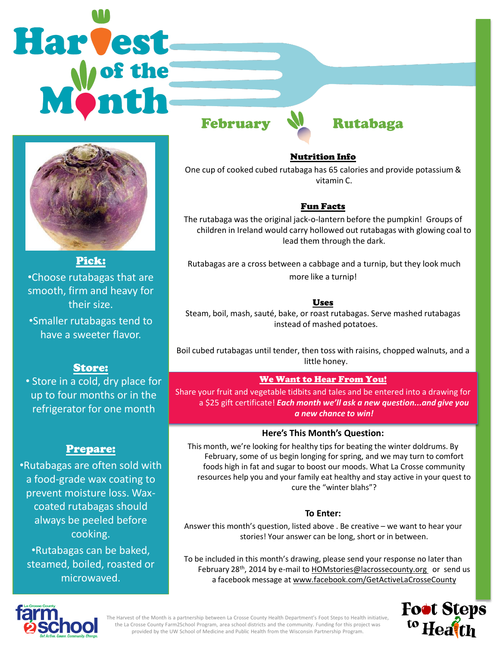# **Harvest**





Pick:

•Choose rutabagas that are smooth, firm and heavy for their size.

•Smaller rutabagas tend to have a sweeter flavor.

## Store:

• Store in a cold, dry place for up to four months or in the refrigerator for one month

# Prepare:

•Rutabagas are often sold with a food-grade wax coating to prevent moisture loss. Waxcoated rutabagas should always be peeled before cooking.

•Rutabagas can be baked, steamed, boiled, roasted or microwaved.

Nutrition Info

One cup of cooked cubed rutabaga has 65 calories and provide potassium & vitamin C.

### Fun Facts

The rutabaga was the original jack-o-lantern before the pumpkin! Groups of children in Ireland would carry hollowed out rutabagas with glowing coal to lead them through the dark.

Rutabagas are a cross between a cabbage and a turnip, but they look much more like a turnip!

## Uses

Steam, boil, mash, sauté, bake, or roast rutabagas. Serve mashed rutabagas instead of mashed potatoes.

Boil cubed rutabagas until tender, then toss with raisins, chopped walnuts, and a little honey.

## We Want to Hear From You!

Share your fruit and vegetable tidbits and tales and be entered into a drawing for a \$25 gift certificate! *Each month we'll ask a new question...and give you a new chance to win!* 

### **Here's This Month's Question:**

This month, we're looking for healthy tips for beating the winter doldrums. By February, some of us begin longing for spring, and we may turn to comfort foods high in fat and sugar to boost our moods. What La Crosse community resources help you and your family eat healthy and stay active in your quest to cure the "winter blahs"?

### **To Enter:**

Answer this month's question, listed above . Be creative – we want to hear your stories! Your answer can be long, short or in between.

To be included in this month's drawing, please send your response no later than February 28<sup>th</sup>, 2014 by e-mail to **HOMstories@lacrossecounty.org** or send us a facebook message at www.facebook.com/GetActiveLaCrosseCounty